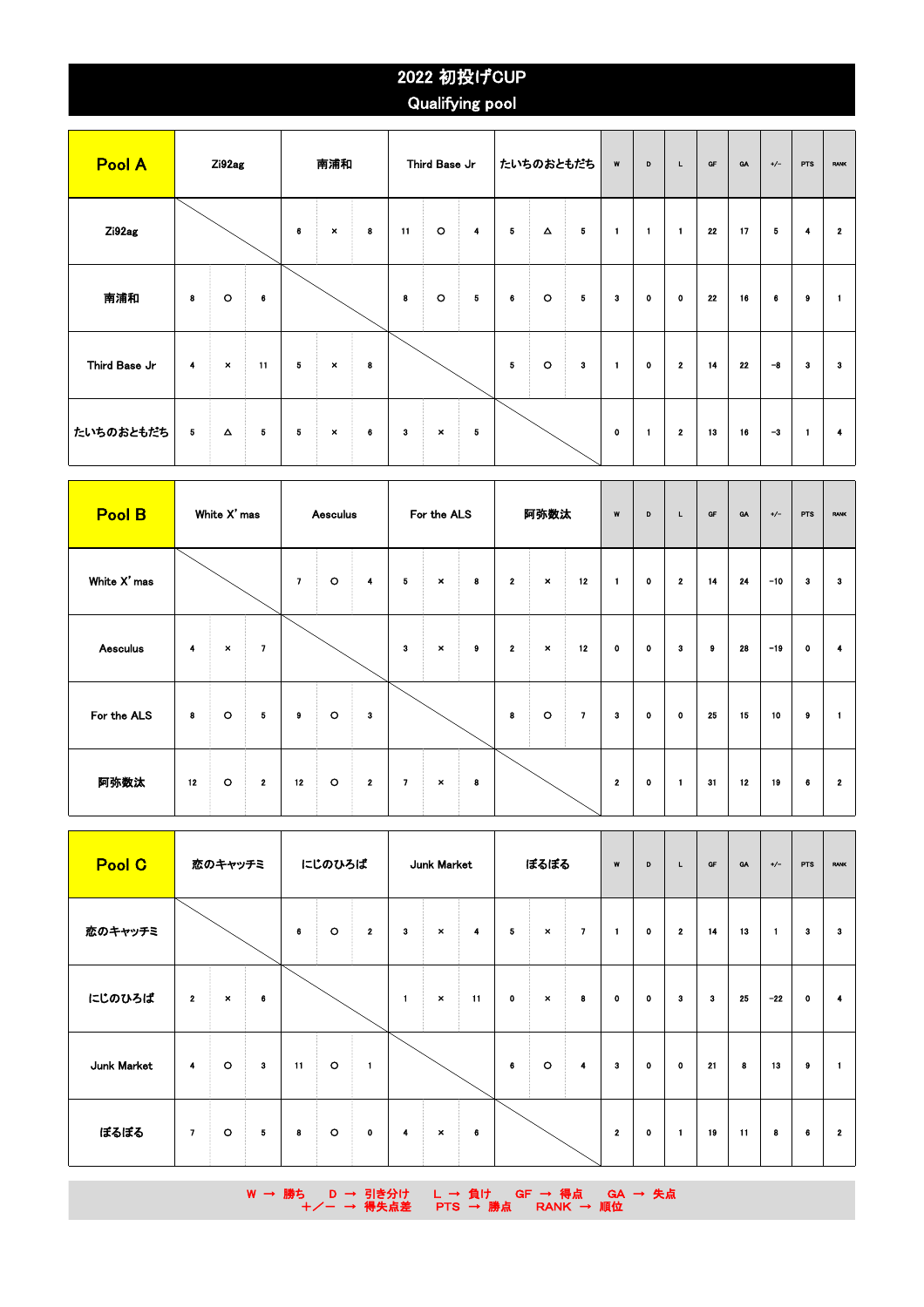## 2022 初投げCUP Qualifying pool

| Pool A        |   | Zi92ag         |    |          | 南浦和            |   |    | Third Base Jr  |            |              | たいちのおともだち        |                         | W            | D            | L.           | GF | <b>GA</b> | $+/-$ | <b>PTS</b>   | <b>RANK</b>  |
|---------------|---|----------------|----|----------|----------------|---|----|----------------|------------|--------------|------------------|-------------------------|--------------|--------------|--------------|----|-----------|-------|--------------|--------------|
| Zi92ag        |   |                |    | $\bf{6}$ | $\pmb{\times}$ | 8 | 11 | $\circ$        | 4          | 5            | $\blacktriangle$ | 5                       | $\mathbf{1}$ | $\mathbf{1}$ | $\mathbf{1}$ | 22 | 17        | 5     | 4            | $\mathbf{2}$ |
| 南浦和           | 8 | $\circ$        | 6  |          |                |   | 8  | $\circ$        | $\sqrt{5}$ | 6            | $\circ$          | $\overline{\mathbf{5}}$ | 3            | $\mathbf 0$  | $\mathbf 0$  | 22 | 16        | 6     | 9            | $\mathbf{1}$ |
| Third Base Jr | 4 | $\pmb{\times}$ | 11 | 5        | $\pmb{\times}$ | 8 |    |                |            | $\mathbf{5}$ | $\circ$          | 3                       | $\mathbf{1}$ | $\mathbf 0$  | $\mathbf{2}$ | 14 | 22        | $-8$  | 3            | з            |
| たいちのおともだち     | 5 | Δ              | 5  | 5        | $\pmb{\times}$ | 6 | 3  | $\pmb{\times}$ | 5          |              |                  |                         | $\mathbf 0$  | 1            | $\mathbf{2}$ | 13 | 16        | $-3$  | $\mathbf{1}$ | 4            |

| <b>Pool B</b>   |    | White X' mas   |                          |                          | For the ALS<br><b>Aesculus</b> |              |              |                |   | 阿弥数汰                    |                | W              | D              | L.          | <b>OF</b>    | GA       | $+/-$ | <b>PTS</b> | <b>RANK</b> |                |
|-----------------|----|----------------|--------------------------|--------------------------|--------------------------------|--------------|--------------|----------------|---|-------------------------|----------------|----------------|----------------|-------------|--------------|----------|-------|------------|-------------|----------------|
| White X' mas    |    |                |                          | $\overline{\phantom{a}}$ | $\circ$                        | 4            | 5            | $\pmb{\times}$ | 8 | $\overline{\mathbf{2}}$ | $\pmb{\times}$ | 12             | $\blacksquare$ | $\bullet$   | $\mathbf{2}$ | 14       | 24    | $-10$      | 3           | 3              |
| <b>Aesculus</b> | 4  | $\pmb{\times}$ | $\overline{\phantom{a}}$ |                          |                                |              | $\mathbf{3}$ | $\pmb{\times}$ | 9 | $\mathbf{2}$            | $\pmb{\times}$ | 12             | 0              | $\mathbf 0$ | з            | $\bf{9}$ | 28    | $-19$      | $\mathbf 0$ | $\overline{4}$ |
| For the ALS     | 8  | $\circ$        | 5                        | 9                        | $\circ$                        | 3            |              |                |   | 8                       | $\circ$        | $\overline{ }$ | 3              | $\mathbf 0$ | $\bullet$    | 25       | 15    | 10         | $\pmb{9}$   | $\mathbf{1}$   |
| 阿弥数汰            | 12 | $\circ$        | $\mathbf{2}$             | 12                       | $\circ$<br>$\bullet$           | $\mathbf{2}$ | $\mathbf{7}$ | $\pmb{\times}$ | 8 |                         |                |                | $\mathbf{2}$   | $\mathbf 0$ | $\mathbf{1}$ | 31       | 12    | 19         | 6           | $\mathbf{2}$   |

| Pool C      | 恋のキャッチミ                 |                |              | にじのひろば<br>Junk Market |         |                |              | ぼるぼる                      |          |             | W                         | D            | L            | GF          | <b>GA</b>    | $+/-$ | PTS | <b>RANK</b>  |          |              |
|-------------|-------------------------|----------------|--------------|-----------------------|---------|----------------|--------------|---------------------------|----------|-------------|---------------------------|--------------|--------------|-------------|--------------|-------|-----|--------------|----------|--------------|
| 恋のキャッチミ     |                         |                |              | 6                     | $\circ$ | $\mathbf{2}$   | 3            | $\boldsymbol{\mathsf{x}}$ | 4        | 5           | $\boldsymbol{\mathsf{x}}$ | $\mathbf{7}$ | $\mathbf{1}$ | $\bf{0}$    | $\mathbf{2}$ | 14    | 13  | $\mathbf{1}$ | 3        | 3            |
| にじのひろば      | $\overline{\mathbf{2}}$ | $\pmb{\times}$ | 6            |                       |         |                | $\mathbf{1}$ | $\pmb{\times}$            | 11       | $\mathbf 0$ | $\pmb{\times}$            | 8            | 0            | $\mathbf 0$ | 3            | 3     | 25  | $-22$        | 0        |              |
| Junk Market | $\overline{\mathbf{4}}$ | $\circ$        | $\mathbf{3}$ | 11                    | $\circ$ | $\blacksquare$ |              |                           |          | 6           | $\circ$                   | 4            | 3            | $\mathbf 0$ | $\bullet$    | 21    | 8   | 13           | $\bf{9}$ |              |
| ぼるぼる        | $\mathbf{7}$            | $\circ$        | $\sqrt{5}$   | 8                     | $\circ$ | $\mathbf 0$    | 4            | $\pmb{\times}$            | $\bf{6}$ |             |                           |              | $\mathbf{2}$ | $\bf{0}$    | $\mathbf{1}$ | 19    | 11  | 8            | 6        | $\mathbf{2}$ |

W → 勝ち D → 引き分け L → 負け GF → 得点 GA → 失点 +/- → 得失点差 PTS → 勝点 RANK → 順位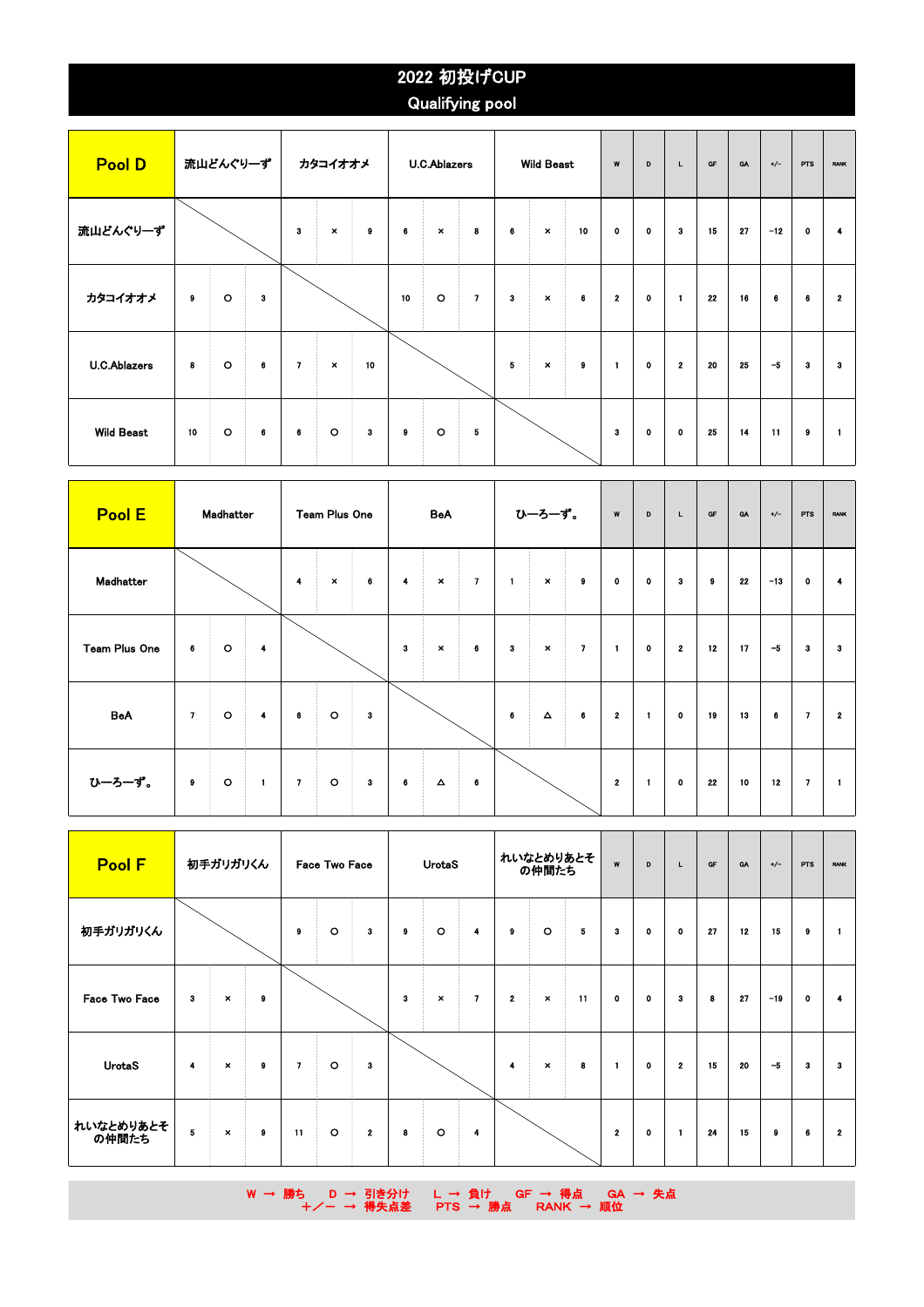## 2022 初投げCUP Qualifying pool

| <b>Pool D</b>       | 流山どんぐり一ず  |         |          | カタコイオオメ<br><b>U.C.Ablazers</b> |                |           |    |                |              |              | <b>Wild Beast</b> |           | W            | D           | L.             | <b>QF</b> | <b>GA</b> | $+/-$               | <b>PTS</b> | <b>RANK</b>  |
|---------------------|-----------|---------|----------|--------------------------------|----------------|-----------|----|----------------|--------------|--------------|-------------------|-----------|--------------|-------------|----------------|-----------|-----------|---------------------|------------|--------------|
| 流山どんぐりーず            |           |         |          | 3                              | $\pmb{\times}$ | $\pmb{9}$ | 6  | $\pmb{\times}$ | $\bf{8}$     | 6            | $\pmb{\times}$    | 10        | $\mathbf 0$  | $\bullet$   | $\mathbf{3}$   | 15        | 27        | $-12$               | 0          | 4            |
| カタコイオオメ             | $\bullet$ | $\circ$ | $\bf{3}$ |                                |                |           | 10 | $\circ$        | $\mathbf{7}$ | $\mathbf{3}$ | $\pmb{\times}$    | $\bf{6}$  | $\mathbf{2}$ | $\mathbf 0$ | $\blacksquare$ | 22        | 16        | $\ddot{\mathbf{6}}$ | 6          | $\mathbf{2}$ |
| <b>U.C.Ablazers</b> | 8         | $\circ$ | $\bf{6}$ | $\mathbf{7}$                   | $\pmb{\times}$ | 10        |    |                |              | 5            | $\pmb{\times}$    | $\pmb{9}$ | $\mathbf{1}$ | $\bullet$   | $\mathbf{2}$   | 20        | 25        | $-5$                | 3          | 3            |
| <b>Wild Beast</b>   | 10        | $\circ$ | 6        | 6                              | $\circ$        | $\bf{3}$  | 9  | $\circ$        | $\bf 5$      |              |                   |           | 3            | $\bullet$   | $\bullet$      | 25        | 14        | 11                  | 9          | $\mathbf{1}$ |

| Pool E        | Madhatter    |         |                         | <b>Team Plus One</b><br>BeA |                |   |              |                |                          | ひーろーず。         |                       | W              | D            | Щ.             | <b>OF</b>    | GA        | $+/-$ | <b>PTS</b> | <b>RANK</b>             |                      |
|---------------|--------------|---------|-------------------------|-----------------------------|----------------|---|--------------|----------------|--------------------------|----------------|-----------------------|----------------|--------------|----------------|--------------|-----------|-------|------------|-------------------------|----------------------|
| Madhatter     |              |         |                         | 4                           | $\pmb{\times}$ | 6 | 4            | $\pmb{\times}$ | $\overline{\phantom{a}}$ | $\blacksquare$ | $\boldsymbol{\times}$ | $\bullet$      | $\mathbf 0$  | $\bullet$      | $\mathbf{3}$ | $\bullet$ | 22    | $-13$      | $\mathbf 0$             | $\blacktriangleleft$ |
| Team Plus One | 6            | $\circ$ | $\overline{\mathbf{4}}$ |                             |                |   | $\mathbf{3}$ | $\pmb{\times}$ | 6                        | 3              | $\pmb{\times}$        | $\overline{7}$ | $\mathbf{1}$ | $\mathbf 0$    | $\mathbf{2}$ | 12        | 17    | $-5$       | з                       | з                    |
| <b>BeA</b>    | $\mathbf{7}$ | $\circ$ | $\overline{4}$          | 6                           | $\circ$        | 3 |              |                |                          | $\bf{6}$       | $\blacktriangle$      | 6              | $\mathbf{2}$ | $\blacksquare$ | $\bullet$    | 19        | 13    | 6          | $\overline{ }$          | $\mathbf{2}$         |
| ひーろーず。        | 9            | $\circ$ | $\mathbf{1}$            | $\mathbf{7}$                | $\circ$        | 3 | 6            | $\Delta$       | 6                        |                |                       |                | $\bf{2}$     | $\blacksquare$ | $\mathbf 0$  | 22        | 10    | 12         | $\overline{\mathbf{z}}$ | $\mathbf{1}$         |

| <b>Pool F</b>      | 初手ガリガリくん |                           |           | Face Two Face<br><b>UrotaS</b> |         |              |   |                |                | れいなとめりあとそ<br>の仲間たち |                           | W  | D            | L.           | GF                      | <b>GA</b> | $+/-$ | <b>PTS</b> | <b>RANK</b> |              |
|--------------------|----------|---------------------------|-----------|--------------------------------|---------|--------------|---|----------------|----------------|--------------------|---------------------------|----|--------------|--------------|-------------------------|-----------|-------|------------|-------------|--------------|
| 初手ガリガリくん           |          |                           |           | 9                              | $\circ$ | 3            | 9 | $\circ$        | $\overline{4}$ | $\boldsymbol{9}$   | $\circ$                   | 5  | 3            | $\mathbf{0}$ | $\mathbf 0$             | 27        | 12    | 15         | 9           | 1            |
| Face Two Face      | 3        | $\boldsymbol{\mathsf{x}}$ | $\pmb{9}$ |                                |         |              | 3 | $\pmb{\times}$ | $\overline{ }$ | $\mathbf{2}$       | $\boldsymbol{\mathsf{x}}$ | 11 | $\mathbf 0$  | $\bullet$    | 3                       | 8         | 27    | $-19$      | $\mathbf 0$ | 4            |
| <b>UrotaS</b>      | 4        | $\pmb{\times}$            | $\bf{9}$  | $\mathbf{7}$                   | $\circ$ | 3            |   |                |                | 4                  | $\boldsymbol{\times}$     | 8  | $\mathbf{1}$ | $\mathbf 0$  | $\overline{\mathbf{2}}$ | 15        | 20    | $-5$       | з           | з.           |
| れいなとめりあとそ<br>の仲間たち | 5        | $\pmb{\times}$            | $\bullet$ | 11                             | $\circ$ | $\mathbf{2}$ | 8 | $\circ$        | 4              |                    |                           |    | $\mathbf{2}$ | $\mathbf 0$  | $\mathbf{1}$            | 24        | 15    | $\bf{9}$   | 6           | $\mathbf{2}$ |

W → 勝ち D → 引き分け L → 負け GF → 得点 GA → 失点 +/- → 得失点差 PTS → 勝点 RANK → 順位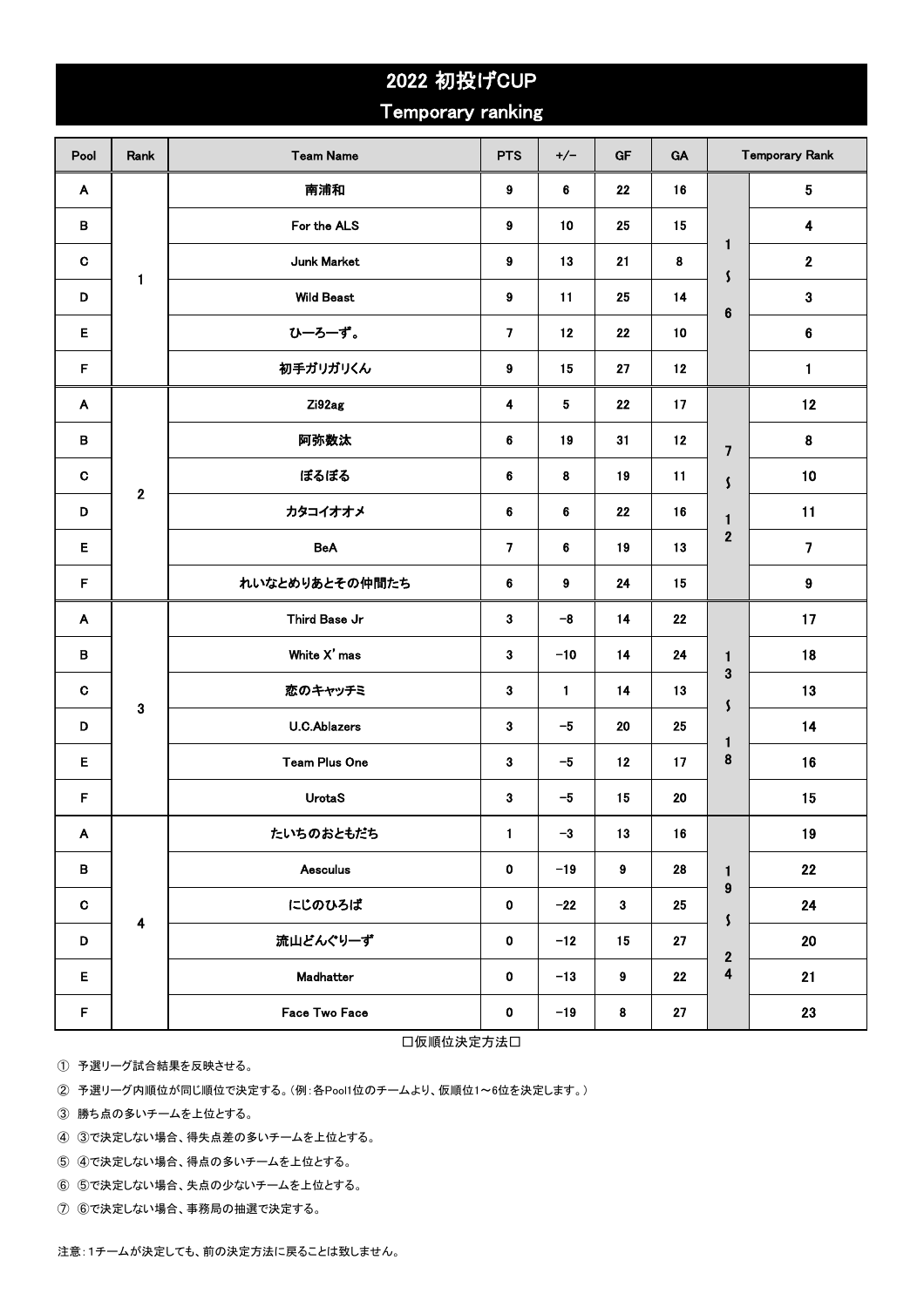|             |                      | 2022 初投げCUP          |                         |       |                  |    |                                            |                         |
|-------------|----------------------|----------------------|-------------------------|-------|------------------|----|--------------------------------------------|-------------------------|
|             |                      | Temporary ranking    |                         |       |                  |    |                                            |                         |
| Pool        | Rank                 | <b>Team Name</b>     | <b>PTS</b>              | $+/-$ | GF               | GA |                                            | <b>Temporary Rank</b>   |
| A           |                      | 南浦和                  | 9                       | 6     | 22               | 16 |                                            | 5                       |
| B           |                      | For the ALS          | 9                       | 10    | 25               | 15 |                                            | 4                       |
| $\mathbf C$ |                      | <b>Junk Market</b>   | 9                       | 13    | 21               | 8  | $\mathbf{1}$<br>$\mathsf{\mathsf{S}}$      | $\mathbf 2$             |
| D           | $\mathbf{1}$         | <b>Wild Beast</b>    | 9                       | 11    | 25               | 14 | $\bf 6$                                    | 3                       |
| Е           |                      | ひーろーず。               | $\overline{7}$          | 12    | 22               | 10 |                                            | 6                       |
| F           |                      | 初手ガリガリくん             | 9                       | 15    | 27               | 12 |                                            | 1                       |
| A           |                      | Zi92ag               | 4                       | 5     | 22               | 17 |                                            | 12                      |
| в           |                      | 阿弥数汰                 | 6                       | 19    | 31               | 12 | $\overline{\mathbf{z}}$                    | $\pmb{8}$               |
| C           | $\mathbf 2$          | ぼるぼる                 | 6                       | 8     | 19               | 11 | $\mathsf{\mathsf{S}}$                      | 10                      |
| D           |                      | カタコイオオメ              | 6                       | 6     | 22               | 16 | $\mathbf{1}$                               | 11                      |
| Е           |                      | <b>BeA</b>           | $\overline{\mathbf{z}}$ | 6     | 19               | 13 | $\mathbf 2$                                | $\overline{\mathbf{z}}$ |
| F           |                      | れいなとめりあとその仲間たち       | 6                       | 9     | 24               | 15 |                                            | $\boldsymbol{9}$        |
| A           |                      | Third Base Jr        | 3                       | $-8$  | 14               | 22 |                                            | 17                      |
| в           |                      | White X' mas         | 3                       | $-10$ | 14               | 24 | $\mathbf{1}$                               | 18                      |
| C           |                      | 恋のキャッチミ              | 3                       | 1     | 14               | 13 | 3<br>\$                                    | 13                      |
| D           | 3                    | <b>U.C.Ablazers</b>  | 3                       | $-5$  | 20               | 25 | $\mathbf{1}$                               | 14                      |
| E           |                      | <b>Team Plus One</b> | 3                       | $-5$  | 12               | 17 | 8                                          | 16                      |
| F           |                      | <b>UrotaS</b>        | $\mathbf{3}$            | $-5$  | 15               | 20 |                                            | 15                      |
| A           |                      | たいちのおともだち            | 1                       | $-3$  | 13               | 16 |                                            | 19                      |
| В           |                      | <b>Aesculus</b>      | 0                       | $-19$ | $\boldsymbol{9}$ | 28 | $\mathbf{1}$                               | 22                      |
| C           |                      | にじのひろば               | 0                       | $-22$ | $\boldsymbol{3}$ | 25 | $\boldsymbol{9}$<br>$\mathsf{\mathcal{S}}$ | 24                      |
| D           | $\ddot{\phantom{a}}$ | 流山どんぐりーず             | 0                       | $-12$ | 15               | 27 | $\bf 2$                                    | $20\,$                  |
| Е           |                      | Madhatter            |                         | $-13$ | $\pmb{9}$        | 22 | $\overline{\mathbf{4}}$                    | 21                      |
| F           |                      | Face Two Face        | 0                       | $-19$ | $\bf8$           | 27 |                                            | 23                      |

□仮順位決定方法□

① 予選リーグ試合結果を反映させる。

② 予選リーグ内順位が同じ順位で決定する。(例:各Pool1位のチームより、仮順位1~6位を決定します。)

③ 勝ち点の多いチームを上位とする。

④ ③で決定しない場合、得失点差の多いチームを上位とする。

⑤ ④で決定しない場合、得点の多いチームを上位とする。

⑥ ⑤で決定しない場合、失点の少ないチームを上位とする。

⑦ ⑥で決定しない場合、事務局の抽選で決定する。

注意:1チームが決定しても、前の決定方法に戻ることは致しません。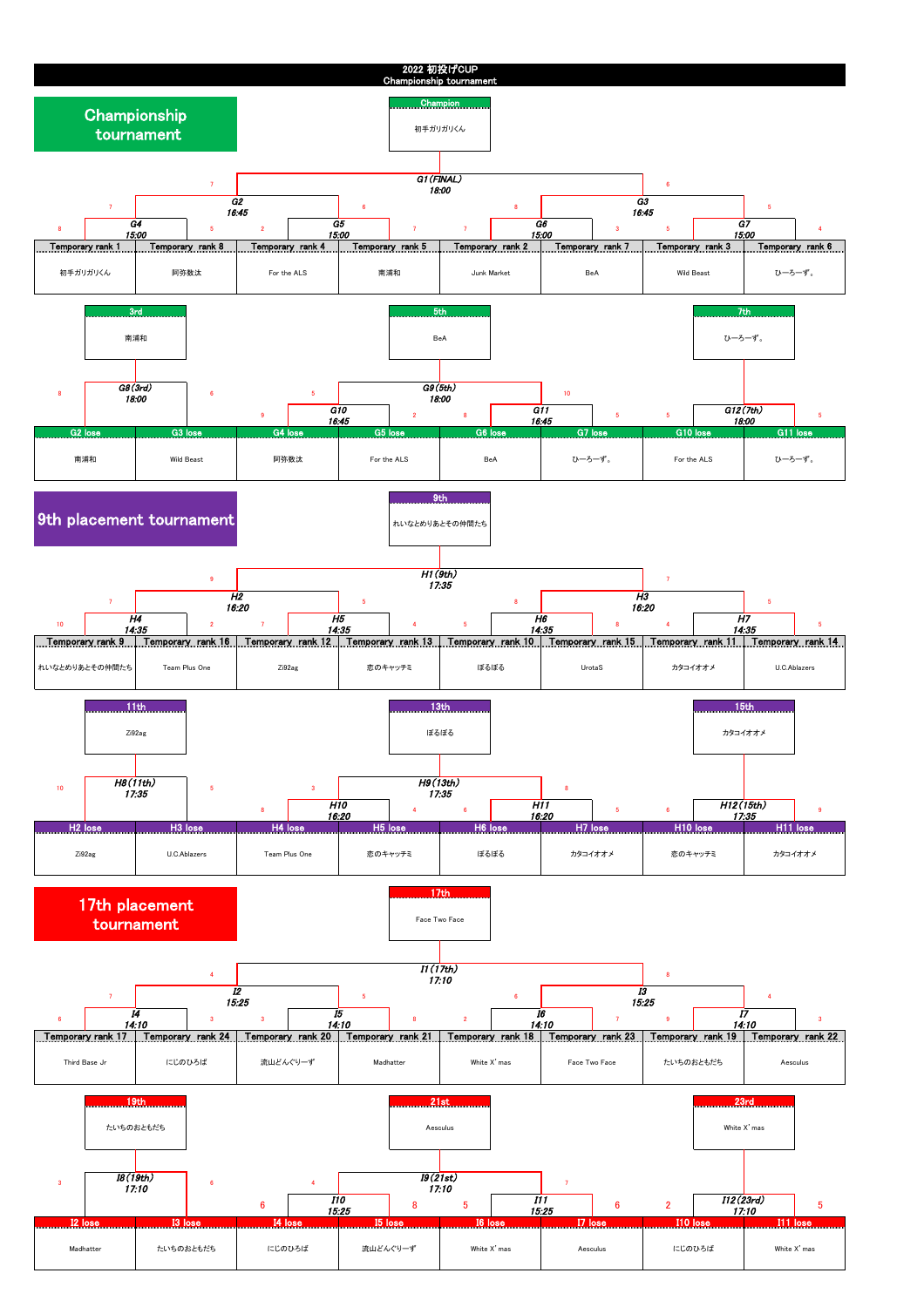